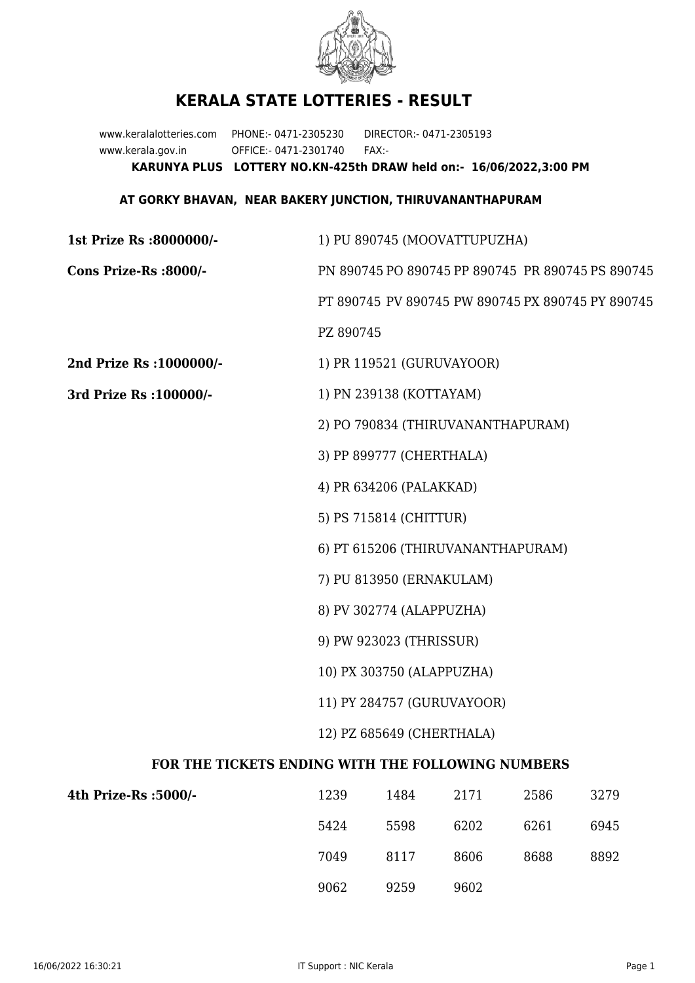

## **KERALA STATE LOTTERIES - RESULT**

www.keralalotteries.com PHONE:- 0471-2305230 DIRECTOR:- 0471-2305193 www.kerala.gov.in OFFICE:- 0471-2301740 FAX:- **KARUNYA PLUS LOTTERY NO.KN-425th DRAW held on:- 16/06/2022,3:00 PM**

## **AT GORKY BHAVAN, NEAR BAKERY JUNCTION, THIRUVANANTHAPURAM**

| 1st Prize Rs :8000000/-                           | 1) PU 890745 (MOOVATTUPUZHA)                      |                           |                                   |      |                                                   |  |
|---------------------------------------------------|---------------------------------------------------|---------------------------|-----------------------------------|------|---------------------------------------------------|--|
| Cons Prize-Rs :8000/-                             | PN 890745 PO 890745 PP 890745 PR 890745 PS 890745 |                           |                                   |      |                                                   |  |
|                                                   |                                                   |                           |                                   |      | PT 890745 PV 890745 PW 890745 PX 890745 PY 890745 |  |
|                                                   | PZ 890745                                         |                           |                                   |      |                                                   |  |
| 2nd Prize Rs : 1000000/-                          |                                                   | 1) PR 119521 (GURUVAYOOR) |                                   |      |                                                   |  |
| 3rd Prize Rs : 100000/-                           | 1) PN 239138 (KOTTAYAM)                           |                           |                                   |      |                                                   |  |
|                                                   | 2) PO 790834 (THIRUVANANTHAPURAM)                 |                           |                                   |      |                                                   |  |
|                                                   | 3) PP 899777 (CHERTHALA)                          |                           |                                   |      |                                                   |  |
|                                                   |                                                   | 4) PR 634206 (PALAKKAD)   |                                   |      |                                                   |  |
|                                                   |                                                   | 5) PS 715814 (CHITTUR)    |                                   |      |                                                   |  |
|                                                   |                                                   |                           | 6) PT 615206 (THIRUVANANTHAPURAM) |      |                                                   |  |
|                                                   | 7) PU 813950 (ERNAKULAM)                          |                           |                                   |      |                                                   |  |
|                                                   | 8) PV 302774 (ALAPPUZHA)                          |                           |                                   |      |                                                   |  |
|                                                   | 9) PW 923023 (THRISSUR)                           |                           |                                   |      |                                                   |  |
|                                                   | 10) PX 303750 (ALAPPUZHA)                         |                           |                                   |      |                                                   |  |
|                                                   | 11) PY 284757 (GURUVAYOOR)                        |                           |                                   |      |                                                   |  |
|                                                   |                                                   | 12) PZ 685649 (CHERTHALA) |                                   |      |                                                   |  |
| FOR THE TICKETS ENDING WITH THE FOLLOWING NUMBERS |                                                   |                           |                                   |      |                                                   |  |
| 4th Prize-Rs :5000/-                              | 1239                                              | 1484                      | 2171                              | 2586 | 3279                                              |  |
|                                                   |                                                   |                           |                                   |      |                                                   |  |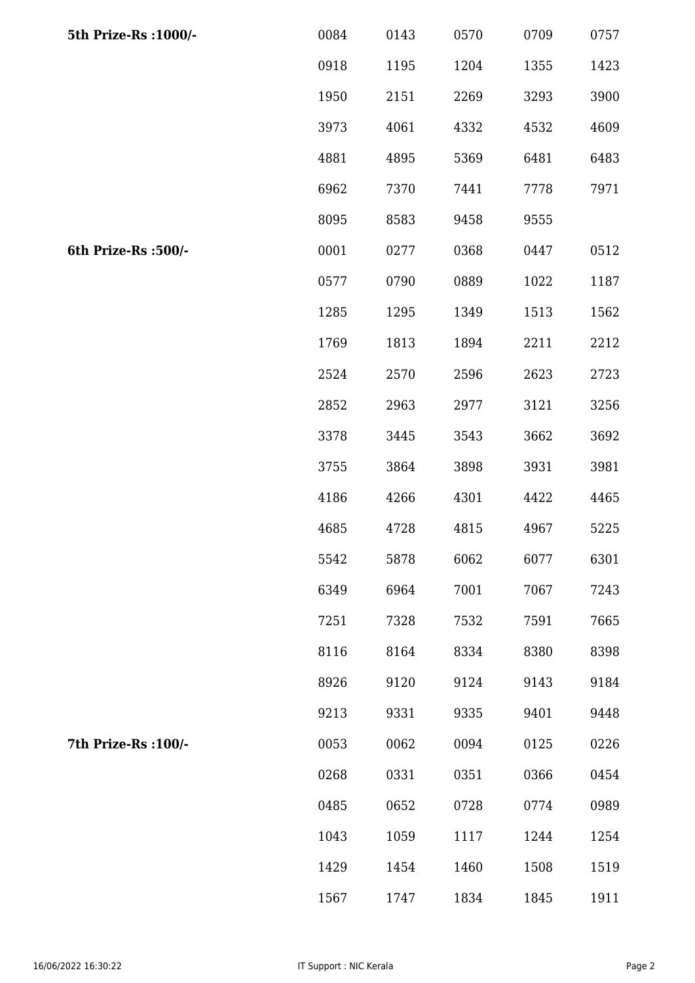| 5th Prize-Rs : 1000/- | 0084 | 0143 | 0570 | 0709 | 0757 |
|-----------------------|------|------|------|------|------|
|                       | 0918 | 1195 | 1204 | 1355 | 1423 |
|                       | 1950 | 2151 | 2269 | 3293 | 3900 |
|                       | 3973 | 4061 | 4332 | 4532 | 4609 |
|                       | 4881 | 4895 | 5369 | 6481 | 6483 |
|                       | 6962 | 7370 | 7441 | 7778 | 7971 |
|                       | 8095 | 8583 | 9458 | 9555 |      |
| 6th Prize-Rs :500/-   | 0001 | 0277 | 0368 | 0447 | 0512 |
|                       | 0577 | 0790 | 0889 | 1022 | 1187 |
|                       | 1285 | 1295 | 1349 | 1513 | 1562 |
|                       | 1769 | 1813 | 1894 | 2211 | 2212 |
|                       | 2524 | 2570 | 2596 | 2623 | 2723 |
|                       | 2852 | 2963 | 2977 | 3121 | 3256 |
|                       | 3378 | 3445 | 3543 | 3662 | 3692 |
|                       | 3755 | 3864 | 3898 | 3931 | 3981 |
|                       | 4186 | 4266 | 4301 | 4422 | 4465 |
|                       | 4685 | 4728 | 4815 | 4967 | 5225 |
|                       | 5542 | 5878 | 6062 | 6077 | 6301 |
|                       | 6349 | 6964 | 7001 | 7067 | 7243 |
|                       | 7251 | 7328 | 7532 | 7591 | 7665 |
|                       | 8116 | 8164 | 8334 | 8380 | 8398 |
|                       | 8926 | 9120 | 9124 | 9143 | 9184 |
|                       | 9213 | 9331 | 9335 | 9401 | 9448 |
| 7th Prize-Rs : 100/-  | 0053 | 0062 | 0094 | 0125 | 0226 |
|                       | 0268 | 0331 | 0351 | 0366 | 0454 |
|                       | 0485 | 0652 | 0728 | 0774 | 0989 |
|                       | 1043 | 1059 | 1117 | 1244 | 1254 |
|                       | 1429 | 1454 | 1460 | 1508 | 1519 |
|                       | 1567 | 1747 | 1834 | 1845 | 1911 |